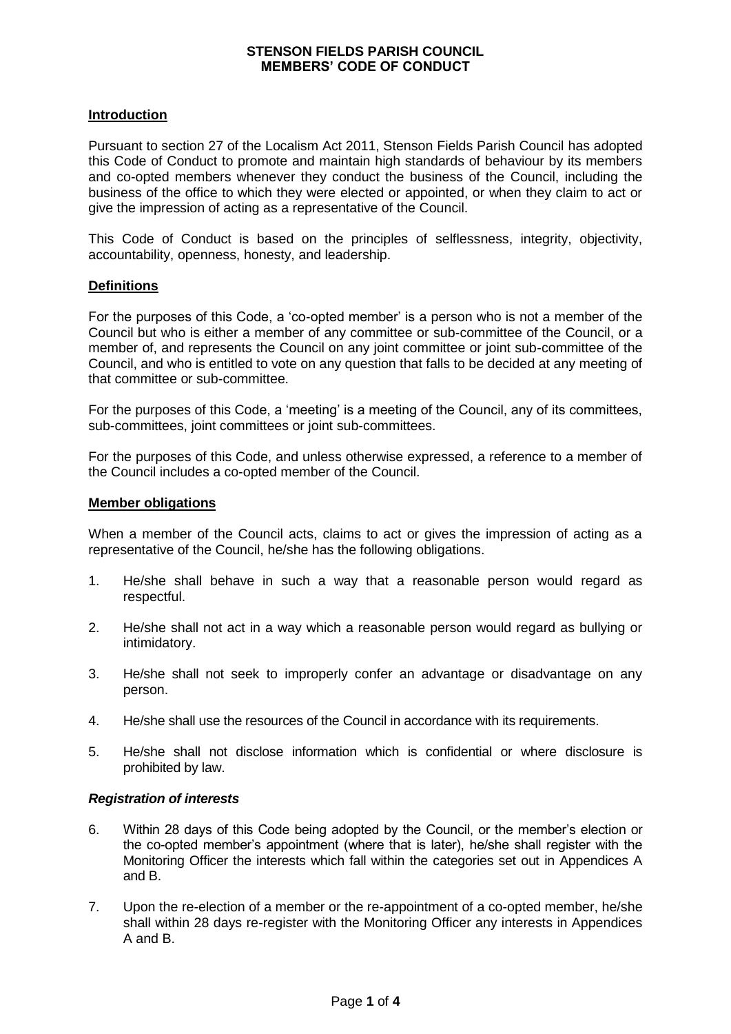## **Introduction**

Pursuant to section 27 of the Localism Act 2011, Stenson Fields Parish Council has adopted this Code of Conduct to promote and maintain high standards of behaviour by its members and co-opted members whenever they conduct the business of the Council, including the business of the office to which they were elected or appointed, or when they claim to act or give the impression of acting as a representative of the Council.

This Code of Conduct is based on the principles of selflessness, integrity, objectivity, accountability, openness, honesty, and leadership.

## **Definitions**

For the purposes of this Code, a 'co-opted member' is a person who is not a member of the Council but who is either a member of any committee or sub-committee of the Council, or a member of, and represents the Council on any joint committee or joint sub-committee of the Council, and who is entitled to vote on any question that falls to be decided at any meeting of that committee or sub-committee.

For the purposes of this Code, a 'meeting' is a meeting of the Council, any of its committees, sub-committees, joint committees or joint sub-committees.

For the purposes of this Code, and unless otherwise expressed, a reference to a member of the Council includes a co-opted member of the Council.

### **Member obligations**

When a member of the Council acts, claims to act or gives the impression of acting as a representative of the Council, he/she has the following obligations.

- 1. He/she shall behave in such a way that a reasonable person would regard as respectful.
- 2. He/she shall not act in a way which a reasonable person would regard as bullying or intimidatory.
- 3. He/she shall not seek to improperly confer an advantage or disadvantage on any person.
- 4. He/she shall use the resources of the Council in accordance with its requirements.
- 5. He/she shall not disclose information which is confidential or where disclosure is prohibited by law.

### *Registration of interests*

- 6. Within 28 days of this Code being adopted by the Council, or the member's election or the co-opted member's appointment (where that is later), he/she shall register with the Monitoring Officer the interests which fall within the categories set out in Appendices A and B.
- 7. Upon the re-election of a member or the re-appointment of a co-opted member, he/she shall within 28 days re-register with the Monitoring Officer any interests in Appendices A and B.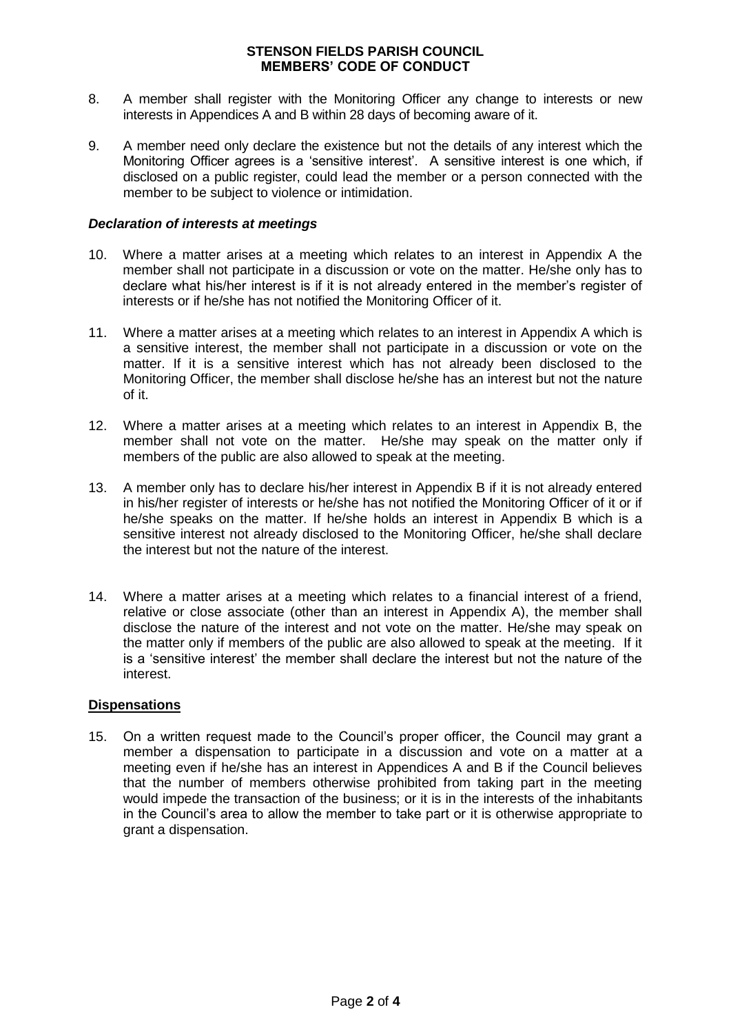- 8. A member shall register with the Monitoring Officer any change to interests or new interests in Appendices A and B within 28 days of becoming aware of it.
- 9. A member need only declare the existence but not the details of any interest which the Monitoring Officer agrees is a 'sensitive interest'. A sensitive interest is one which, if disclosed on a public register, could lead the member or a person connected with the member to be subject to violence or intimidation.

## *Declaration of interests at meetings*

- 10. Where a matter arises at a meeting which relates to an interest in Appendix A the member shall not participate in a discussion or vote on the matter. He/she only has to declare what his/her interest is if it is not already entered in the member's register of interests or if he/she has not notified the Monitoring Officer of it.
- 11. Where a matter arises at a meeting which relates to an interest in Appendix A which is a sensitive interest, the member shall not participate in a discussion or vote on the matter. If it is a sensitive interest which has not already been disclosed to the Monitoring Officer, the member shall disclose he/she has an interest but not the nature of it.
- 12. Where a matter arises at a meeting which relates to an interest in Appendix B, the member shall not vote on the matter. He/she may speak on the matter only if members of the public are also allowed to speak at the meeting.
- 13. A member only has to declare his/her interest in Appendix B if it is not already entered in his/her register of interests or he/she has not notified the Monitoring Officer of it or if he/she speaks on the matter. If he/she holds an interest in Appendix B which is a sensitive interest not already disclosed to the Monitoring Officer, he/she shall declare the interest but not the nature of the interest.
- 14. Where a matter arises at a meeting which relates to a financial interest of a friend, relative or close associate (other than an interest in Appendix A), the member shall disclose the nature of the interest and not vote on the matter. He/she may speak on the matter only if members of the public are also allowed to speak at the meeting. If it is a 'sensitive interest' the member shall declare the interest but not the nature of the interest.

### **Dispensations**

15. On a written request made to the Council's proper officer, the Council may grant a member a dispensation to participate in a discussion and vote on a matter at a meeting even if he/she has an interest in Appendices A and B if the Council believes that the number of members otherwise prohibited from taking part in the meeting would impede the transaction of the business; or it is in the interests of the inhabitants in the Council's area to allow the member to take part or it is otherwise appropriate to grant a dispensation.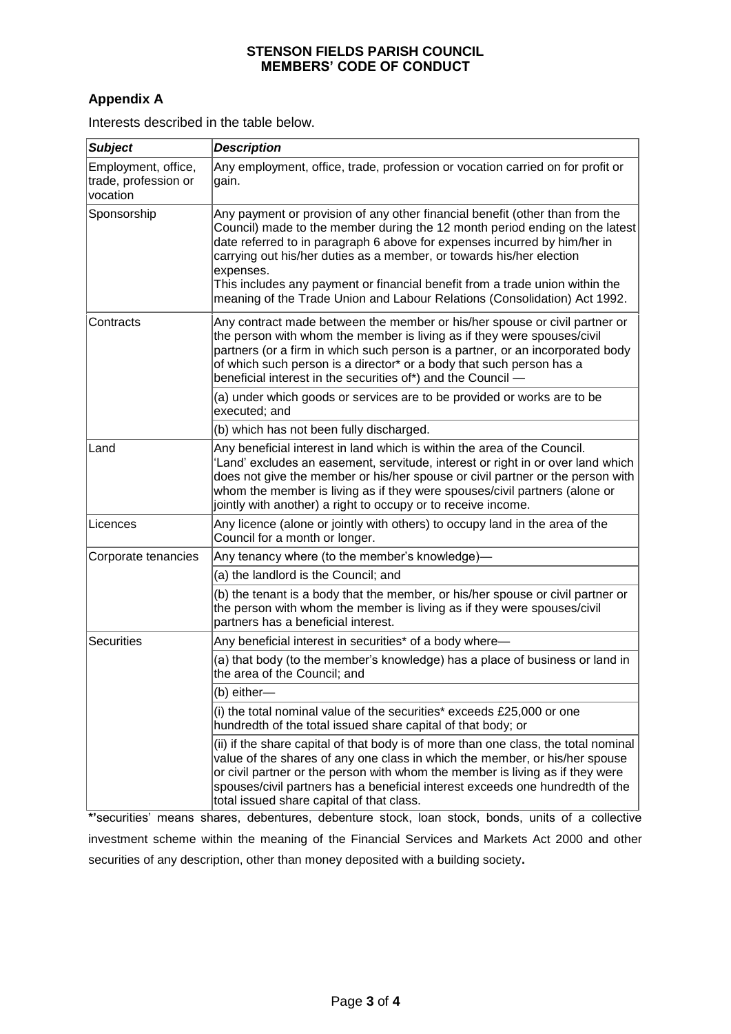# **Appendix A**

Interests described in the table below.

| <b>Subject</b>                                          | <b>Description</b>                                                                                                                                                                                                                                                                                                                                                                                                                                                                         |
|---------------------------------------------------------|--------------------------------------------------------------------------------------------------------------------------------------------------------------------------------------------------------------------------------------------------------------------------------------------------------------------------------------------------------------------------------------------------------------------------------------------------------------------------------------------|
| Employment, office,<br>trade, profession or<br>vocation | Any employment, office, trade, profession or vocation carried on for profit or<br>gain.                                                                                                                                                                                                                                                                                                                                                                                                    |
| Sponsorship                                             | Any payment or provision of any other financial benefit (other than from the<br>Council) made to the member during the 12 month period ending on the latest<br>date referred to in paragraph 6 above for expenses incurred by him/her in<br>carrying out his/her duties as a member, or towards his/her election<br>expenses.<br>This includes any payment or financial benefit from a trade union within the<br>meaning of the Trade Union and Labour Relations (Consolidation) Act 1992. |
| Contracts                                               | Any contract made between the member or his/her spouse or civil partner or<br>the person with whom the member is living as if they were spouses/civil<br>partners (or a firm in which such person is a partner, or an incorporated body<br>of which such person is a director* or a body that such person has a<br>beneficial interest in the securities of*) and the Council -                                                                                                            |
|                                                         | (a) under which goods or services are to be provided or works are to be<br>executed; and                                                                                                                                                                                                                                                                                                                                                                                                   |
|                                                         | (b) which has not been fully discharged.                                                                                                                                                                                                                                                                                                                                                                                                                                                   |
| Land                                                    | Any beneficial interest in land which is within the area of the Council.<br>'Land' excludes an easement, servitude, interest or right in or over land which<br>does not give the member or his/her spouse or civil partner or the person with<br>whom the member is living as if they were spouses/civil partners (alone or<br>jointly with another) a right to occupy or to receive income.                                                                                               |
| Licences                                                | Any licence (alone or jointly with others) to occupy land in the area of the<br>Council for a month or longer.                                                                                                                                                                                                                                                                                                                                                                             |
| Corporate tenancies                                     | Any tenancy where (to the member's knowledge)—                                                                                                                                                                                                                                                                                                                                                                                                                                             |
|                                                         | (a) the landlord is the Council; and                                                                                                                                                                                                                                                                                                                                                                                                                                                       |
|                                                         | (b) the tenant is a body that the member, or his/her spouse or civil partner or<br>the person with whom the member is living as if they were spouses/civil<br>partners has a beneficial interest.                                                                                                                                                                                                                                                                                          |
| Securities                                              | Any beneficial interest in securities* of a body where-                                                                                                                                                                                                                                                                                                                                                                                                                                    |
|                                                         | (a) that body (to the member's knowledge) has a place of business or land in<br>the area of the Council; and                                                                                                                                                                                                                                                                                                                                                                               |
|                                                         | (b) either-                                                                                                                                                                                                                                                                                                                                                                                                                                                                                |
|                                                         | (i) the total nominal value of the securities* exceeds £25,000 or one<br>hundredth of the total issued share capital of that body; or                                                                                                                                                                                                                                                                                                                                                      |
|                                                         | (ii) if the share capital of that body is of more than one class, the total nominal<br>value of the shares of any one class in which the member, or his/her spouse<br>or civil partner or the person with whom the member is living as if they were<br>spouses/civil partners has a beneficial interest exceeds one hundredth of the<br>total issued share capital of that class.                                                                                                          |

**\*'**securities' means shares, debentures, debenture stock, loan stock, bonds, units of a collective investment scheme within the meaning of the Financial Services and Markets Act 2000 and other securities of any description, other than money deposited with a building society**.**